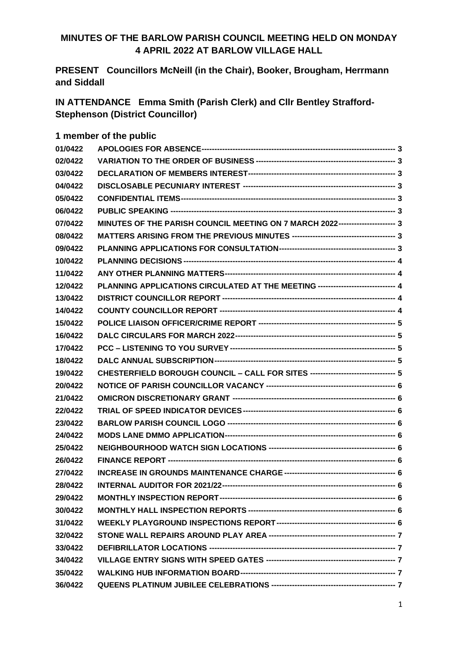### **MINUTES OF THE BARLOW PARISH COUNCIL MEETING HELD ON MONDAY 4 APRIL 2022 AT BARLOW VILLAGE HALL**

**PRESENT Councillors McNeill (in the Chair), Booker, Brougham, Herrmann and Siddall**

**IN ATTENDANCE Emma Smith (Parish Clerk) and Cllr Bentley Strafford-Stephenson (District Councillor)**

| 1 member of the public |  |  |  |  |
|------------------------|--|--|--|--|
|------------------------|--|--|--|--|

| 01/0422 |                                                                                  |  |
|---------|----------------------------------------------------------------------------------|--|
| 02/0422 |                                                                                  |  |
| 03/0422 |                                                                                  |  |
| 04/0422 |                                                                                  |  |
| 05/0422 |                                                                                  |  |
| 06/0422 |                                                                                  |  |
| 07/0422 | MINUTES OF THE PARISH COUNCIL MEETING ON 7 MARCH 2022--------------------- 3     |  |
| 08/0422 |                                                                                  |  |
| 09/0422 |                                                                                  |  |
| 10/0422 |                                                                                  |  |
| 11/0422 |                                                                                  |  |
| 12/0422 | PLANNING APPLICATIONS CIRCULATED AT THE MEETING ----------------------------- 4  |  |
| 13/0422 |                                                                                  |  |
| 14/0422 |                                                                                  |  |
| 15/0422 |                                                                                  |  |
| 16/0422 |                                                                                  |  |
| 17/0422 |                                                                                  |  |
| 18/0422 |                                                                                  |  |
| 19/0422 | CHESTERFIELD BOROUGH COUNCIL - CALL FOR SITES -------------------------------- 5 |  |
| 20/0422 |                                                                                  |  |
| 21/0422 |                                                                                  |  |
| 22/0422 |                                                                                  |  |
| 23/0422 |                                                                                  |  |
| 24/0422 |                                                                                  |  |
| 25/0422 |                                                                                  |  |
| 26/0422 |                                                                                  |  |
| 27/0422 |                                                                                  |  |
| 28/0422 |                                                                                  |  |
| 29/0422 |                                                                                  |  |
| 30/0422 |                                                                                  |  |
| 31/0422 |                                                                                  |  |
| 32/0422 |                                                                                  |  |
| 33/0422 |                                                                                  |  |
| 34/0422 |                                                                                  |  |
| 35/0422 |                                                                                  |  |
| 36/0422 |                                                                                  |  |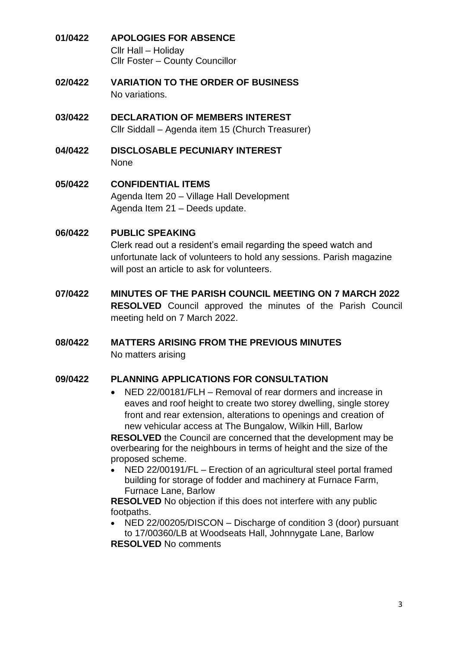- <span id="page-2-0"></span>**01/0422 APOLOGIES FOR ABSENCE** Cllr Hall – Holiday Cllr Foster – County Councillor
- <span id="page-2-1"></span>**02/0422 VARIATION TO THE ORDER OF BUSINESS** No variations.
- <span id="page-2-2"></span>**03/0422 DECLARATION OF MEMBERS INTEREST** Cllr Siddall – Agenda item 15 (Church Treasurer)
- <span id="page-2-3"></span>**04/0422 DISCLOSABLE PECUNIARY INTEREST** None
- <span id="page-2-4"></span>**05/0422 CONFIDENTIAL ITEMS** Agenda Item 20 – Village Hall Development Agenda Item 21 – Deeds update.
- <span id="page-2-5"></span>**06/0422 PUBLIC SPEAKING**

Clerk read out a resident's email regarding the speed watch and unfortunate lack of volunteers to hold any sessions. Parish magazine will post an article to ask for volunteers.

- <span id="page-2-6"></span>**07/0422 MINUTES OF THE PARISH COUNCIL MEETING ON 7 MARCH 2022 RESOLVED** Council approved the minutes of the Parish Council meeting held on 7 March 2022.
- <span id="page-2-7"></span>**08/0422 MATTERS ARISING FROM THE PREVIOUS MINUTES**  No matters arising

### <span id="page-2-8"></span>**09/0422 PLANNING APPLICATIONS FOR CONSULTATION**

- NED 22/00181/FLH Removal of rear dormers and increase in eaves and roof height to create two storey dwelling, single storey front and rear extension, alterations to openings and creation of new vehicular access at The Bungalow, Wilkin Hill, Barlow **RESOLVED** the Council are concerned that the development may be overbearing for the neighbours in terms of height and the size of the proposed scheme.
- NED 22/00191/FL Erection of an agricultural steel portal framed building for storage of fodder and machinery at Furnace Farm, Furnace Lane, Barlow

**RESOLVED** No objection if this does not interfere with any public footpaths.

• NED 22/00205/DISCON – Discharge of condition 3 (door) pursuant to 17/00360/LB at Woodseats Hall, Johnnygate Lane, Barlow **RESOLVED** No comments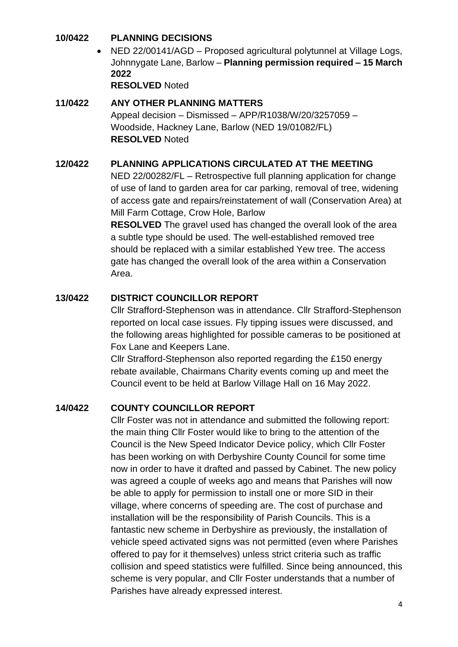### <span id="page-3-0"></span>**10/0422 PLANNING DECISIONS**

• NED 22/00141/AGD – Proposed agricultural polytunnel at Village Logs, Johnnygate Lane, Barlow – **Planning permission required – 15 March 2022**

**RESOLVED** Noted

# <span id="page-3-1"></span>**11/0422 ANY OTHER PLANNING MATTERS** Appeal decision – Dismissed – APP/R1038/W/20/3257059 – Woodside, Hackney Lane, Barlow (NED 19/01082/FL) **RESOLVED** Noted

### <span id="page-3-2"></span>**12/0422 PLANNING APPLICATIONS CIRCULATED AT THE MEETING**

NED 22/00282/FL – Retrospective full planning application for change of use of land to garden area for car parking, removal of tree, widening of access gate and repairs/reinstatement of wall (Conservation Area) at Mill Farm Cottage, Crow Hole, Barlow

**RESOLVED** The gravel used has changed the overall look of the area a subtle type should be used. The well-established removed tree should be replaced with a similar established Yew tree. The access gate has changed the overall look of the area within a Conservation Area.

## <span id="page-3-3"></span>**13/0422 DISTRICT COUNCILLOR REPORT**

Cllr Strafford-Stephenson was in attendance. Cllr Strafford-Stephenson reported on local case issues. Fly tipping issues were discussed, and the following areas highlighted for possible cameras to be positioned at Fox Lane and Keepers Lane.

Cllr Strafford-Stephenson also reported regarding the £150 energy rebate available, Chairmans Charity events coming up and meet the Council event to be held at Barlow Village Hall on 16 May 2022.

## <span id="page-3-4"></span>**14/0422 COUNTY COUNCILLOR REPORT**

Cllr Foster was not in attendance and submitted the following report: the main thing Cllr Foster would like to bring to the attention of the Council is the New Speed Indicator Device policy, which Cllr Foster has been working on with Derbyshire County Council for some time now in order to have it drafted and passed by Cabinet. The new policy was agreed a couple of weeks ago and means that Parishes will now be able to apply for permission to install one or more SID in their village, where concerns of speeding are. The cost of purchase and installation will be the responsibility of Parish Councils. This is a fantastic new scheme in Derbyshire as previously, the installation of vehicle speed activated signs was not permitted (even where Parishes offered to pay for it themselves) unless strict criteria such as traffic collision and speed statistics were fulfilled. Since being announced, this scheme is very popular, and Cllr Foster understands that a number of Parishes have already expressed interest.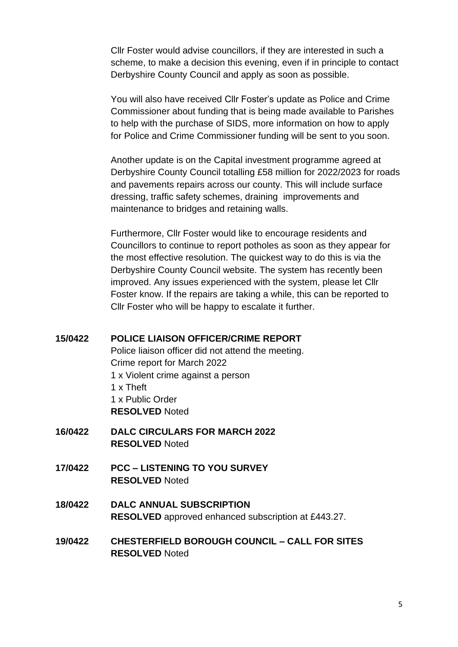Cllr Foster would advise councillors, if they are interested in such a scheme, to make a decision this evening, even if in principle to contact Derbyshire County Council and apply as soon as possible.

You will also have received Cllr Foster's update as Police and Crime Commissioner about funding that is being made available to Parishes to help with the purchase of SIDS, more information on how to apply for Police and Crime Commissioner funding will be sent to you soon.

Another update is on the Capital investment programme agreed at Derbyshire County Council totalling £58 million for 2022/2023 for roads and pavements repairs across our county. This will include surface dressing, traffic safety schemes, draining improvements and maintenance to bridges and retaining walls.

Furthermore, Cllr Foster would like to encourage residents and Councillors to continue to report potholes as soon as they appear for the most effective resolution. The quickest way to do this is via the Derbyshire County Council website. The system has recently been improved. Any issues experienced with the system, please let Cllr Foster know. If the repairs are taking a while, this can be reported to Cllr Foster who will be happy to escalate it further.

#### <span id="page-4-0"></span>**15/0422 POLICE LIAISON OFFICER/CRIME REPORT**

Police liaison officer did not attend the meeting. Crime report for March 2022 1 x Violent crime against a person 1 x Theft 1 x Public Order **RESOLVED** Noted

- <span id="page-4-1"></span>**16/0422 DALC CIRCULARS FOR MARCH 2022 RESOLVED** Noted
- <span id="page-4-2"></span>**17/0422 PCC – LISTENING TO YOU SURVEY RESOLVED** Noted
- <span id="page-4-3"></span>**18/0422 DALC ANNUAL SUBSCRIPTION RESOLVED** approved enhanced subscription at £443.27.
- <span id="page-4-4"></span>**19/0422 CHESTERFIELD BOROUGH COUNCIL – CALL FOR SITES RESOLVED** Noted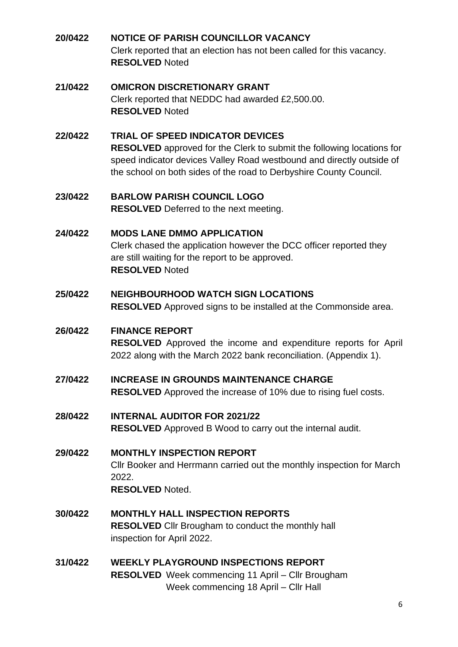<span id="page-5-0"></span>**20/0422 NOTICE OF PARISH COUNCILLOR VACANCY** Clerk reported that an election has not been called for this vacancy. **RESOLVED** Noted

### <span id="page-5-1"></span>**21/0422 OMICRON DISCRETIONARY GRANT** Clerk reported that NEDDC had awarded £2,500.00. **RESOLVED** Noted

## <span id="page-5-2"></span>**22/0422 TRIAL OF SPEED INDICATOR DEVICES RESOLVED** approved for the Clerk to submit the following locations for speed indicator devices Valley Road westbound and directly outside of the school on both sides of the road to Derbyshire County Council.

- <span id="page-5-3"></span>**23/0422 BARLOW PARISH COUNCIL LOGO RESOLVED** Deferred to the next meeting.
- <span id="page-5-4"></span>**24/0422 MODS LANE DMMO APPLICATION** Clerk chased the application however the DCC officer reported they are still waiting for the report to be approved. **RESOLVED** Noted
- <span id="page-5-5"></span>**25/0422 NEIGHBOURHOOD WATCH SIGN LOCATIONS RESOLVED** Approved signs to be installed at the Commonside area.

# <span id="page-5-6"></span>**26/0422 FINANCE REPORT**

**RESOLVED** Approved the income and expenditure reports for April 2022 along with the March 2022 bank reconciliation. (Appendix 1).

- <span id="page-5-7"></span>**27/0422 INCREASE IN GROUNDS MAINTENANCE CHARGE RESOLVED** Approved the increase of 10% due to rising fuel costs.
- <span id="page-5-8"></span>**28/0422 INTERNAL AUDITOR FOR 2021/22 RESOLVED** Approved B Wood to carry out the internal audit.
- <span id="page-5-9"></span>**29/0422 MONTHLY INSPECTION REPORT** Cllr Booker and Herrmann carried out the monthly inspection for March 2022. **RESOLVED** Noted.
- <span id="page-5-10"></span>**30/0422 MONTHLY HALL INSPECTION REPORTS RESOLVED** Cllr Brougham to conduct the monthly hall inspection for April 2022.
- <span id="page-5-11"></span>**31/0422 WEEKLY PLAYGROUND INSPECTIONS REPORT RESOLVED** Week commencing 11 April – Cllr Brougham Week commencing 18 April – Cllr Hall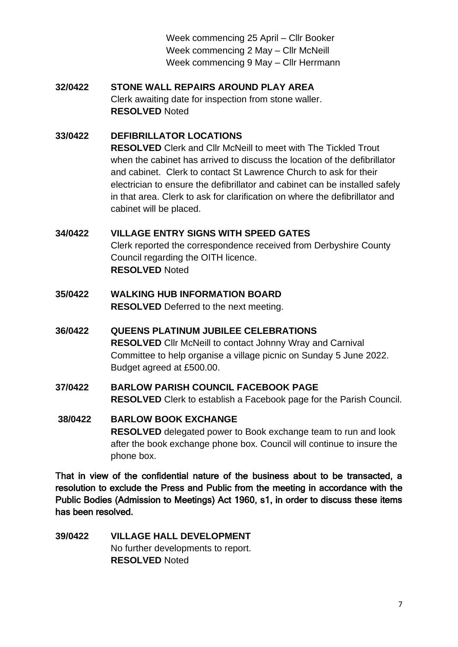Week commencing 25 April – Cllr Booker Week commencing 2 May – Cllr McNeill Week commencing 9 May – Cllr Herrmann

## <span id="page-6-0"></span>**32/0422 STONE WALL REPAIRS AROUND PLAY AREA** Clerk awaiting date for inspection from stone waller. **RESOLVED** Noted

### <span id="page-6-1"></span>**33/0422 DEFIBRILLATOR LOCATIONS**

**RESOLVED** Clerk and Cllr McNeill to meet with The Tickled Trout when the cabinet has arrived to discuss the location of the defibrillator and cabinet. Clerk to contact St Lawrence Church to ask for their electrician to ensure the defibrillator and cabinet can be installed safely in that area. Clerk to ask for clarification on where the defibrillator and cabinet will be placed.

### <span id="page-6-2"></span>**34/0422 VILLAGE ENTRY SIGNS WITH SPEED GATES**

Clerk reported the correspondence received from Derbyshire County Council regarding the OITH licence. **RESOLVED** Noted

- <span id="page-6-3"></span>**35/0422 WALKING HUB INFORMATION BOARD RESOLVED** Deferred to the next meeting.
- <span id="page-6-4"></span>**36/0422 QUEENS PLATINUM JUBILEE CELEBRATIONS RESOLVED** Cllr McNeill to contact Johnny Wray and Carnival Committee to help organise a village picnic on Sunday 5 June 2022. Budget agreed at £500.00.
- <span id="page-6-5"></span>**37/0422 BARLOW PARISH COUNCIL FACEBOOK PAGE RESOLVED** Clerk to establish a Facebook page for the Parish Council.
- <span id="page-6-6"></span>**38/0422 BARLOW BOOK EXCHANGE RESOLVED** delegated power to Book exchange team to run and look after the book exchange phone box. Council will continue to insure the phone box.

That in view of the confidential nature of the business about to be transacted, a resolution to exclude the Press and Public from the meeting in accordance with the Public Bodies (Admission to Meetings) Act 1960, s1, in order to discuss these items has been resolved.

<span id="page-6-7"></span>**39/0422 VILLAGE HALL DEVELOPMENT** No further developments to report. **RESOLVED** Noted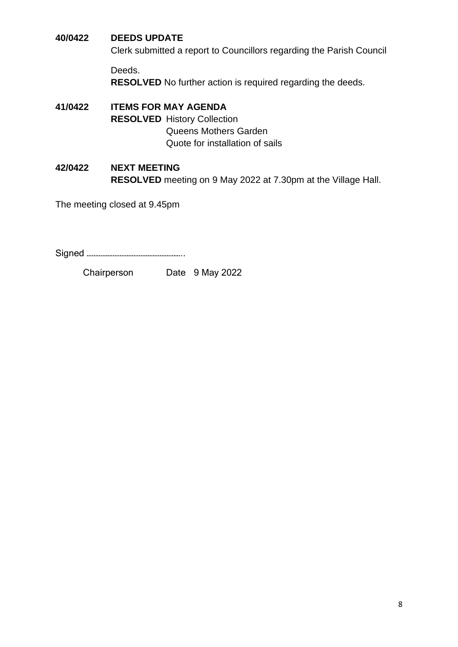### <span id="page-7-0"></span>**40/0422 DEEDS UPDATE**

Clerk submitted a report to Councillors regarding the Parish Council

Deeds.

**RESOLVED** No further action is required regarding the deeds.

<span id="page-7-1"></span>**41/0422 ITEMS FOR MAY AGENDA RESOLVED** History Collection Queens Mothers Garden Quote for installation of sails

### <span id="page-7-2"></span>**42/0422 NEXT MEETING RESOLVED** meeting on 9 May 2022 at 7.30pm at the Village Hall.

The meeting closed at 9.45pm

Signed ………………………………………………..

Chairperson Date 9 May 2022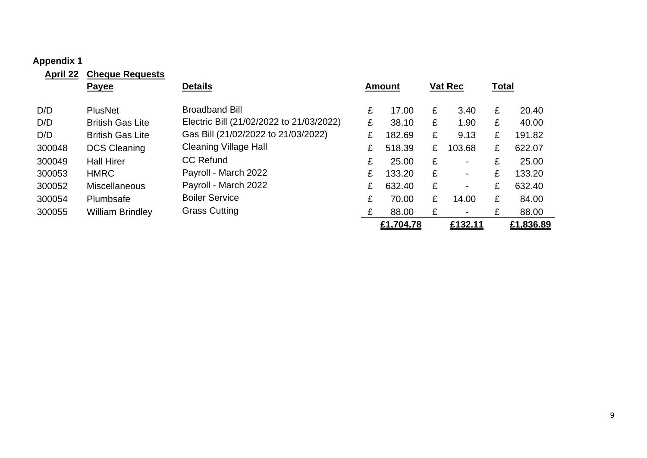#### **Appendix 1**

<span id="page-8-0"></span>

| <b>April 22</b> | <b>Cheque Requests</b>  |                                          |   |               |   |                |       |           |
|-----------------|-------------------------|------------------------------------------|---|---------------|---|----------------|-------|-----------|
|                 | <b>Payee</b>            | <b>Details</b>                           |   | <b>Amount</b> |   | <b>Vat Rec</b> | Total |           |
| D/D             | <b>PlusNet</b>          | <b>Broadband Bill</b>                    | £ | 17.00         | £ | 3.40           | £     | 20.40     |
| D/D             | <b>British Gas Lite</b> | Electric Bill (21/02/2022 to 21/03/2022) | £ | 38.10         | £ | 1.90           | £     | 40.00     |
| D/D             | <b>British Gas Lite</b> | Gas Bill (21/02/2022 to 21/03/2022)      | £ | 182.69        | £ | 9.13           | £     | 191.82    |
| 300048          | <b>DCS Cleaning</b>     | <b>Cleaning Village Hall</b>             | £ | 518.39        | £ | 103.68         | £     | 622.07    |
| 300049          | <b>Hall Hirer</b>       | <b>CC Refund</b>                         | £ | 25.00         | £ | $\blacksquare$ | £     | 25.00     |
| 300053          | <b>HMRC</b>             | Payroll - March 2022                     | £ | 133.20        | £ | $\blacksquare$ | £     | 133.20    |
| 300052          | <b>Miscellaneous</b>    | Payroll - March 2022                     | £ | 632.40        | £ |                | £     | 632.40    |
| 300054          | Plumbsafe               | <b>Boiler Service</b>                    | £ | 70.00         | £ | 14.00          | £     | 84.00     |
| 300055          | <b>William Brindley</b> | <b>Grass Cutting</b>                     | £ | 88.00         | £ |                | £     | 88.00     |
|                 |                         |                                          |   | £1,704.78     |   | £132.11        |       | £1,836.89 |